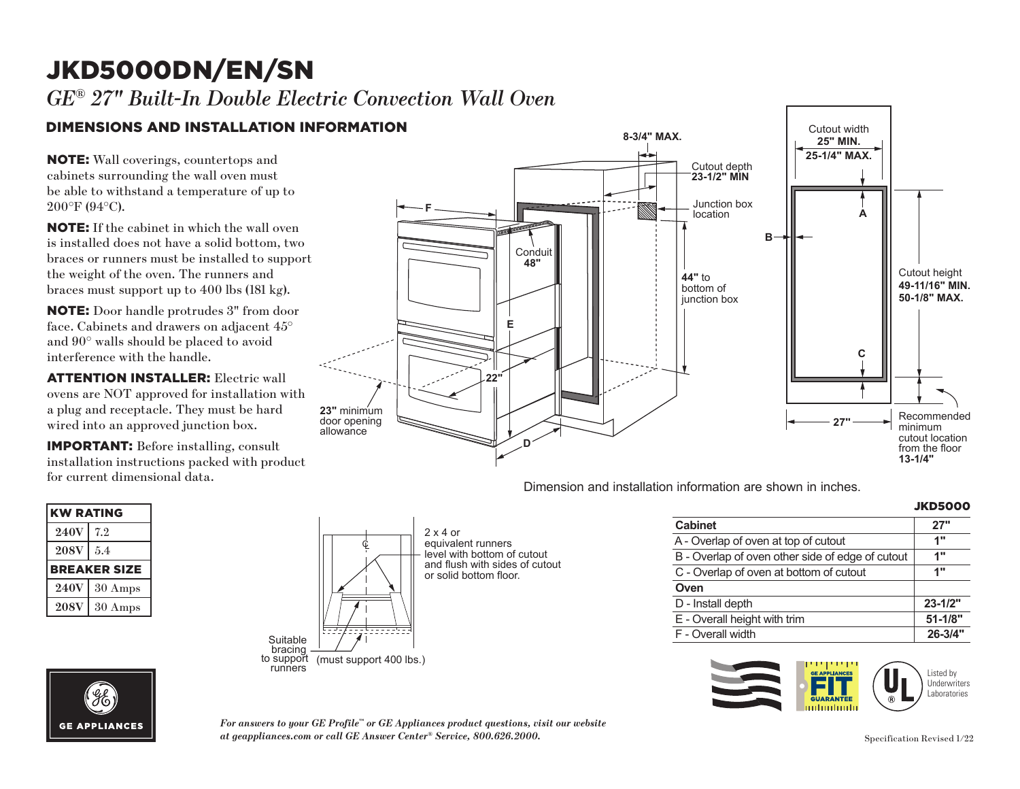# JKD5000DN/EN/SN **F**

### *GE® 27" Built-In Double Electric Convection Wall Oven*

## DIMENSIONS AND INSTALLATION INFORMATION

NOTE: Wall coverings, countertops and cabinets surrounding the wall oven must be able to withstand a temperature of up to 200°F (94°C).

NOTE: If the cabinet in which the wall oven is installed does not have a solid bottom, two braces or runners must be installed to support the weight of the oven. The runners and braces must support up to 400 lbs (181 kg).

**22"** NOTE: Door handle protrudes 3" from door a 90 | walls **s**llo<br>arfareres ruith interference with the handle. face. Cabinets and drawers on adjacent 45° and 90° walls should be placed to avoid

**ATTENTION INSTALLER:** Electric wall ovens are NOT approved for installation with a plug and receptacle. They must be hard wired into an approved junction box.

 $\frac{1}{2}$  installation instructions packed with product for current dimensional data. **23"** minimum IMPORTANT: Before installing, consult

 $\sim$ 

| <b>KW RATING</b>    |                   |  |
|---------------------|-------------------|--|
| <b>240V</b>         | 7.2               |  |
| <b>208V</b>         | 5.4               |  |
| <b>BREAKER SIZE</b> |                   |  |
| <b>240V</b>         | $30 \text{ Amps}$ |  |
| <b>208V</b>         | 30 Amps           |  |
|                     |                   |  |

**GE APPLIANCES** 



Dimension and installation information are shown in inches.

| INTONITIATION ARE SHOWN IN INCHES. |                |
|------------------------------------|----------------|
|                                    | <b>JKD5000</b> |

|                                                  | ,,,,,,,,,,  |
|--------------------------------------------------|-------------|
| <b>Cabinet</b>                                   | 27"         |
| A - Overlap of oven at top of cutout             | 1"          |
| B - Overlap of oven other side of edge of cutout | 1"          |
| C - Overlap of oven at bottom of cutout          | 1"          |
| Oven                                             |             |
| D - Install depth                                | $23 - 1/2"$ |
| E - Overall height with trim                     | $51 - 1/8"$ |
| F - Overall width                                | 26-3/4"     |
|                                                  |             |



*For answers to your GE Profile™ or GE Appliances product questions, visit our website at geappliances.com or call GE Answer Center® Service, 800.626.2000.*

bracing to support runners (must support 400 lbs.)

Ç

bracing to support runners (must support 400 lbs.)

2 x 4 or<br>equivalent runners

level with bottom of cutout and flush with sides of cutout or solid bottom floor.

2 x 4 or

or solid bottom floor.

Suit*e* 

Suitable<br>bracing

 $\Box$ 

to support (must support 400 lbs.)